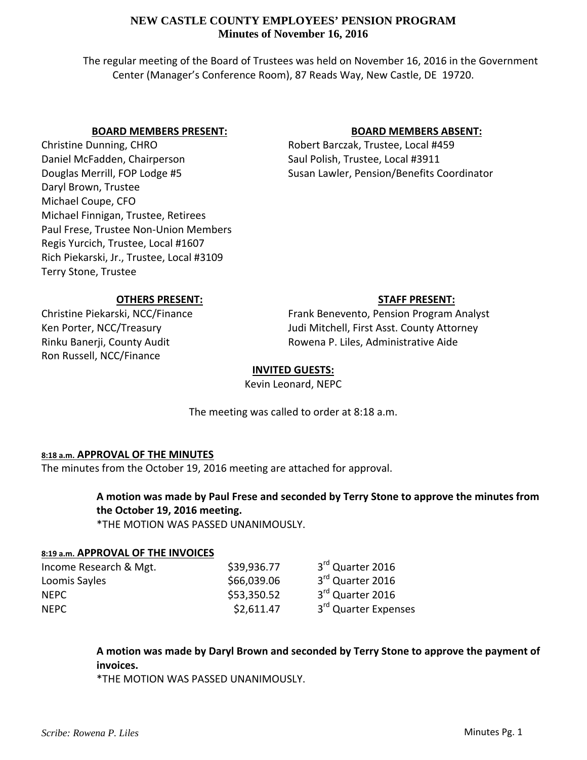The regular meeting of the Board of Trustees was held on November 16, 2016 in the Government Center (Manager's Conference Room), 87 Reads Way, New Castle, DE 19720.

## **BOARD MEMBERS PRESENT:**

Christine Dunning, CHRO Daniel McFadden, Chairperson Douglas Merrill, FOP Lodge #5 Daryl Brown, Trustee Michael Coupe, CFO Michael Finnigan, Trustee, Retirees Paul Frese, Trustee Non‐Union Members Regis Yurcich, Trustee, Local #1607 Rich Piekarski, Jr., Trustee, Local #3109 Terry Stone, Trustee

# **BOARD MEMBERS ABSENT:**

Robert Barczak, Trustee, Local #459 Saul Polish, Trustee, Local #3911 Susan Lawler, Pension/Benefits Coordinator

## **OTHERS PRESENT:**

Christine Piekarski, NCC/Finance Ken Porter, NCC/Treasury Rinku Banerji, County Audit Ron Russell, NCC/Finance

# **STAFF PRESENT:**

Frank Benevento, Pension Program Analyst Judi Mitchell, First Asst. County Attorney Rowena P. Liles, Administrative Aide

#### **INVITED GUESTS:**

Kevin Leonard, NEPC

The meeting was called to order at 8:18 a.m.

## **8:18 a.m. APPROVAL OF THE MINUTES**

The minutes from the October 19, 2016 meeting are attached for approval.

# **A motion was made by Paul Frese and seconded by Terry Stone to approve the minutes from the October 19, 2016 meeting.**

\*THE MOTION WAS PASSED UNANIMOUSLY.

#### **8:19 a.m. APPROVAL OF THE INVOICES**

| Income Research & Mgt. | \$39,936.77 | 3 <sup>rd</sup> Quarter 2016     |
|------------------------|-------------|----------------------------------|
| Loomis Sayles          | \$66,039.06 | 3rd Quarter 2016                 |
| <b>NFPC</b>            | \$53,350.52 | 3 <sup>rd</sup> Quarter 2016     |
| <b>NFPC</b>            | \$2,611.47  | 3 <sup>rd</sup> Quarter Expenses |

# **A motion was made by Daryl Brown and seconded by Terry Stone to approve the payment of invoices.**

\*THE MOTION WAS PASSED UNANIMOUSLY.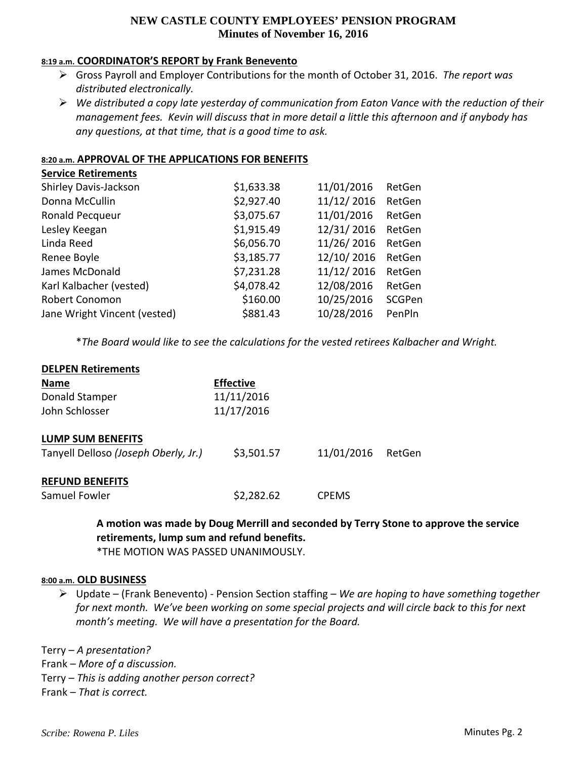#### **8:19 a.m. COORDINATOR'S REPORT by Frank Benevento**

- Gross Payroll and Employer Contributions for the month of October 31, 2016. *The report was distributed electronically.*
- *We distributed a copy late yesterday of communication from Eaton Vance with the reduction of their* management fees. Kevin will discuss that in more detail a little this afternoon and if anybody has *any questions, at that time, that is a good time to ask.*

## **8:20 a.m. APPROVAL OF THE APPLICATIONS FOR BENEFITS**

| <b>Service Retirements</b>   |            |            |        |
|------------------------------|------------|------------|--------|
| Shirley Davis-Jackson        | \$1,633.38 | 11/01/2016 | RetGen |
| Donna McCullin               | \$2,927.40 | 11/12/2016 | RetGen |
| Ronald Pecqueur              | \$3,075.67 | 11/01/2016 | RetGen |
| Lesley Keegan                | \$1,915.49 | 12/31/2016 | RetGen |
| Linda Reed                   | \$6,056.70 | 11/26/2016 | RetGen |
| Renee Boyle                  | \$3,185.77 | 12/10/2016 | RetGen |
| James McDonald               | \$7,231.28 | 11/12/2016 | RetGen |
| Karl Kalbacher (vested)      | \$4,078.42 | 12/08/2016 | RetGen |
| <b>Robert Conomon</b>        | \$160.00   | 10/25/2016 | SCGPen |
| Jane Wright Vincent (vested) | \$881.43   | 10/28/2016 | PenPln |
|                              |            |            |        |

\**The Board would like to see the calculations for the vested retirees Kalbacher and Wright.*

| <b>DELPEN Retirements</b>            |                  |              |        |
|--------------------------------------|------------------|--------------|--------|
| <b>Name</b>                          | <b>Effective</b> |              |        |
| Donald Stamper                       | 11/11/2016       |              |        |
| John Schlosser                       | 11/17/2016       |              |        |
| <b>LUMP SUM BENEFITS</b>             |                  |              |        |
| Tanyell Delloso (Joseph Oberly, Jr.) | \$3,501.57       | 11/01/2016   | RetGen |
| <b>REFUND BENEFITS</b>               |                  |              |        |
| Samuel Fowler                        | \$2,282.62       | <b>CPEMS</b> |        |

**A motion was made by Doug Merrill and seconded by Terry Stone to approve the service retirements, lump sum and refund benefits.**

\*THE MOTION WAS PASSED UNANIMOUSLY.

#### **8:00 a.m. OLD BUSINESS**

 Update – (Frank Benevento) ‐ Pension Section staffing – *We are hoping to have something together* for next month. We've been working on some special projects and will circle back to this for next *month's meeting. We will have a presentation for the Board.*

Terry – *A presentation?* Frank – *More of a discussion.* Terry – *This is adding another person correct?* Frank – *That is correct.*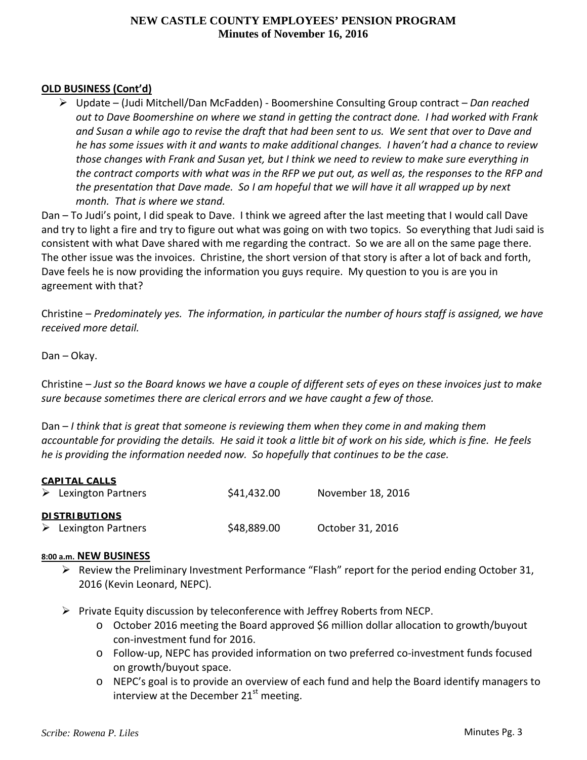# **OLD BUSINESS (Cont'd)**

 Update – (Judi Mitchell/Dan McFadden) ‐ Boomershine Consulting Group contract – *Dan reached* out to Dave Boomershine on where we stand in getting the contract done. I had worked with Frank and Susan a while ago to revise the draft that had been sent to us. We sent that over to Dave and he has some issues with it and wants to make additional changes. I haven't had a chance to review those changes with Frank and Susan yet, but I think we need to review to make sure everything in the contract comports with what was in the RFP we put out, as well as, the responses to the RFP and the presentation that Dave made. So I am hopeful that we will have it all wrapped up by next *month. That is where we stand.* 

Dan – To Judi's point, I did speak to Dave. I think we agreed after the last meeting that I would call Dave and try to light a fire and try to figure out what was going on with two topics. So everything that Judi said is consistent with what Dave shared with me regarding the contract. So we are all on the same page there. The other issue was the invoices. Christine, the short version of that story is after a lot of back and forth, Dave feels he is now providing the information you guys require. My question to you is are you in agreement with that?

Christine – *Predominately yes. The information, in particular the number of hours staff is assigned, we have received more detail.*

## Dan – Okay.

Christine – Just so the Board knows we have a couple of different sets of eyes on these invoices just to make *sure because sometimes there are clerical errors and we have caught a few of those.*

Dan – *I think that is great that someone is reviewing them when they come in and making them* accountable for providing the details. He said it took a little bit of work on his side, which is fine. He feels *he is providing the information needed now. So hopefully that continues to be the case.*

| \$41,432.00 | November 18, 2016 |
|-------------|-------------------|
|             |                   |
|             |                   |
| \$48,889.00 | October 31, 2016  |
|             |                   |

#### **8:00 a.m. NEW BUSINESS**

- Review the Preliminary Investment Performance "Flash" report for the period ending October 31, 2016 (Kevin Leonard, NEPC).
- $\triangleright$  Private Equity discussion by teleconference with Jeffrey Roberts from NECP.
	- o October 2016 meeting the Board approved \$6 million dollar allocation to growth/buyout con‐investment fund for 2016.
	- o Follow‐up, NEPC has provided information on two preferred co‐investment funds focused on growth/buyout space.
	- o NEPC's goal is to provide an overview of each fund and help the Board identify managers to interview at the December  $21<sup>st</sup>$  meeting.